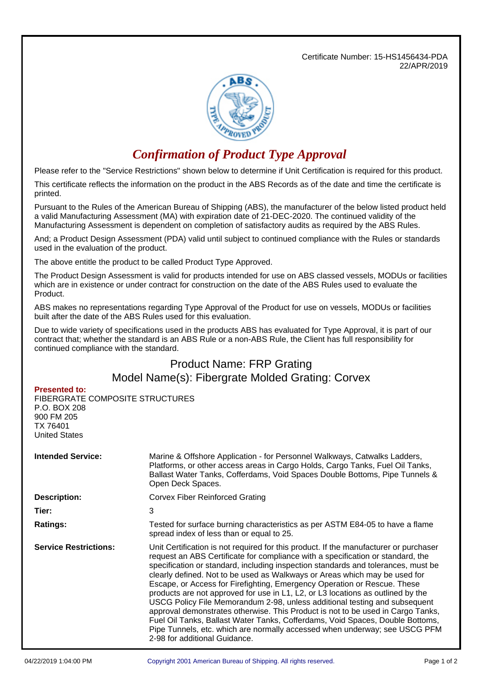Certificate Number: 15-HS1456434-PDA 22/APR/2019



## *Confirmation of Product Type Approval*

Please refer to the "Service Restrictions" shown below to determine if Unit Certification is required for this product.

This certificate reflects the information on the product in the ABS Records as of the date and time the certificate is printed.

Pursuant to the Rules of the American Bureau of Shipping (ABS), the manufacturer of the below listed product held a valid Manufacturing Assessment (MA) with expiration date of 21-DEC-2020. The continued validity of the Manufacturing Assessment is dependent on completion of satisfactory audits as required by the ABS Rules.

And; a Product Design Assessment (PDA) valid until subject to continued compliance with the Rules or standards used in the evaluation of the product.

The above entitle the product to be called Product Type Approved.

The Product Design Assessment is valid for products intended for use on ABS classed vessels, MODUs or facilities which are in existence or under contract for construction on the date of the ABS Rules used to evaluate the Product.

ABS makes no representations regarding Type Approval of the Product for use on vessels, MODUs or facilities built after the date of the ABS Rules used for this evaluation.

Due to wide variety of specifications used in the products ABS has evaluated for Type Approval, it is part of our contract that; whether the standard is an ABS Rule or a non-ABS Rule, the Client has full responsibility for continued compliance with the standard.

## Product Name: FRP Grating Model Name(s): Fibergrate Molded Grating: Corvex

## **Presented to:**

FIBERGRATE COMPOSITE STRUCTURES P.O. BOX 208 900 FM 205 TX 76401 United States

| <b>Intended Service:</b>     | Marine & Offshore Application - for Personnel Walkways, Catwalks Ladders,<br>Platforms, or other access areas in Cargo Holds, Cargo Tanks, Fuel Oil Tanks,<br>Ballast Water Tanks, Cofferdams, Void Spaces Double Bottoms, Pipe Tunnels &<br>Open Deck Spaces.                                                                                                                                                                                                                                                                                                                                                                                                                                                                                                                                                                                                              |  |  |
|------------------------------|-----------------------------------------------------------------------------------------------------------------------------------------------------------------------------------------------------------------------------------------------------------------------------------------------------------------------------------------------------------------------------------------------------------------------------------------------------------------------------------------------------------------------------------------------------------------------------------------------------------------------------------------------------------------------------------------------------------------------------------------------------------------------------------------------------------------------------------------------------------------------------|--|--|
| <b>Description:</b>          | <b>Corvex Fiber Reinforced Grating</b>                                                                                                                                                                                                                                                                                                                                                                                                                                                                                                                                                                                                                                                                                                                                                                                                                                      |  |  |
| Tier:                        | 3                                                                                                                                                                                                                                                                                                                                                                                                                                                                                                                                                                                                                                                                                                                                                                                                                                                                           |  |  |
| <b>Ratings:</b>              | Tested for surface burning characteristics as per ASTM E84-05 to have a flame<br>spread index of less than or equal to 25.                                                                                                                                                                                                                                                                                                                                                                                                                                                                                                                                                                                                                                                                                                                                                  |  |  |
| <b>Service Restrictions:</b> | Unit Certification is not required for this product. If the manufacturer or purchaser<br>request an ABS Certificate for compliance with a specification or standard, the<br>specification or standard, including inspection standards and tolerances, must be<br>clearly defined. Not to be used as Walkways or Areas which may be used for<br>Escape, or Access for Firefighting, Emergency Operation or Rescue. These<br>products are not approved for use in L1, L2, or L3 locations as outlined by the<br>USCG Policy File Memorandum 2-98, unless additional testing and subsequent<br>approval demonstrates otherwise. This Product is not to be used in Cargo Tanks,<br>Fuel Oil Tanks, Ballast Water Tanks, Cofferdams, Void Spaces, Double Bottoms,<br>Pipe Tunnels, etc. which are normally accessed when underway; see USCG PFM<br>2-98 for additional Guidance. |  |  |